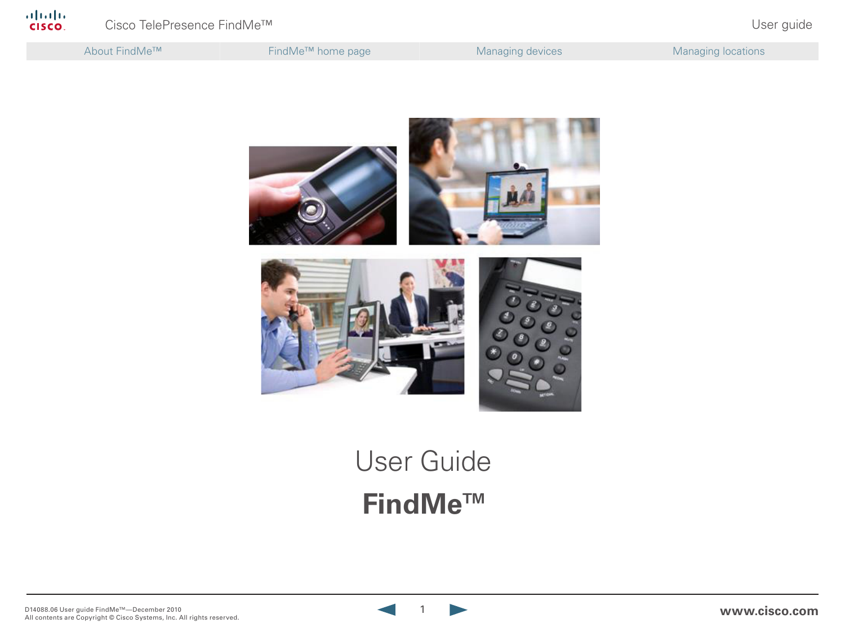About FindMe™ **FindMe™** home page Managing devices Managing devices Managing locations



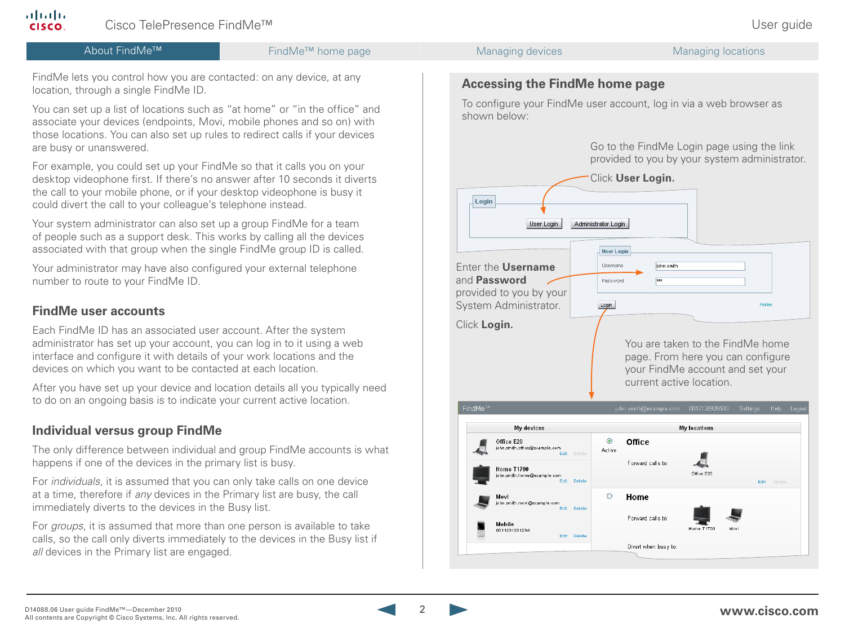

FindMe lets you control how you are contacted: on any device, at any location, through a single FindMe ID.

You can set up a list of locations such as "at home" or "in the office" and associate your devices (endpoints, Movi, mobile phones and so on) with those locations. You can also set up rules to redirect calls if your devices are busy or unanswered.

For example, you could set up your FindMe so that it calls you on your desktop videophone first. If there's no answer after 10 seconds it diverts the call to your mobile phone, or if your desktop videophone is busy it could divert the call to your colleague's telephone instead.

Your system administrator can also set up a group FindMe for a team of people such as a support desk. This works by calling all the devices associated with that group when the single FindMe group ID is called.

Your administrator may have also configured your external telephone number to route to your FindMe ID.

## **FindMe user accounts**

ahaha **CISCO** 

> Each FindMe ID has an associated user account. After the system administrator has set up your account, you can log in to it using a web interface and configure it with details of your work locations and the devices on which you want to be contacted at each location.

After you have set up your device and location details all you typically need to do on an ongoing basis is to indicate your current active location.

### **Individual versus group FindMe**

The only difference between individual and group FindMe accounts is what happens if one of the devices in the primary list is busy.

For *individuals*, it is assumed that you can only take calls on one device at a time, therefore if *any* devices in the Primary list are busy, the call immediately diverts to the devices in the Busy list.

For *groups*, it is assumed that more than one person is available to take calls, so the call only diverts immediately to the devices in the Busy list if *all* devices in the Primary list are engaged.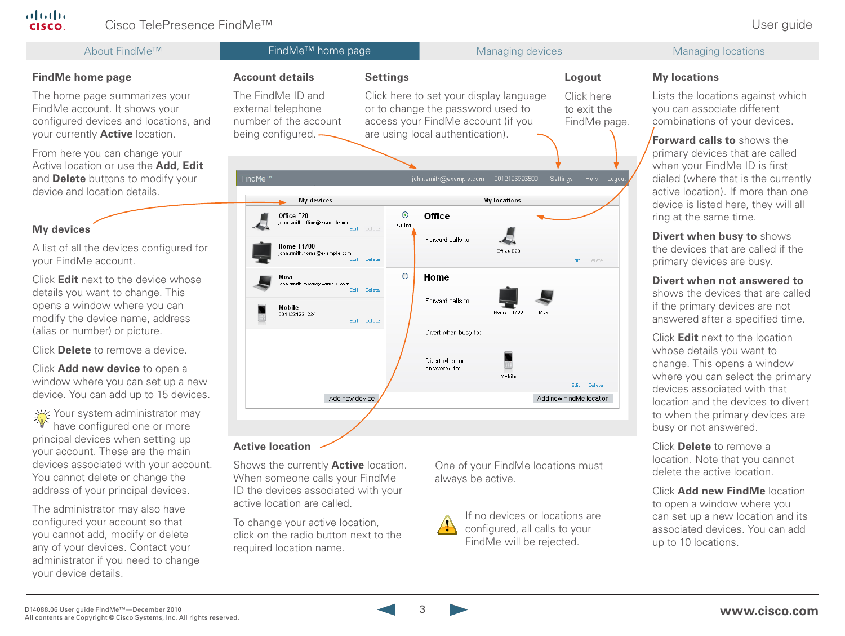### Cisco TelePresence FindMe™ User guide About FindMe<sup>™</sup> FindMe<sup>™</sup> FindMe<sup>™</sup> home page Managing devices Managing devices Managing locations **Account details Settings My locations FindMe home page Logout** The FindMe ID and Click here to set your display language Lists the locations against which The home page summarizes your Click here FindMe account. It shows your external telephone or to change the password used to to exit the you can associate different access your FindMe account (if you configured devices and locations, and number of the account combinations of your devices. FindMe page. your currently **Active** location. being configured. are using local authentication). **Forward calls to** shows the From here you can change your primary devices that are called Active location or use the **Add**, **Edit** when your FindMe ID is first and **Delete** buttons to modify your FindMe<sup>™</sup> john.smith@example.com 0012126926500 Settings Help Logou dialed (where that is the currently device and location details. active location). If more than one **My locations** My devices device is listed here, they will all  $\odot$ Office Office E20 ring at the same time. iohn.smith.office@example.com Active **My devices** Edit **Divert when busy to** shows Forward calls to: A list of all the devices configured for **Home T1700** the devices that are called if the Office E20 ichn smith home@example.com .<br>Edit Delete your FindMe account. Edit Delete primary devices are busy.  $\circ$ Home Click **Edit** next to the device whose Movi **Divert when not answered to** john.smith.movi@example.com Fdit Delete details you want to change. This shows the devices that are called Forward calls to: opens a window where you can if the primary devices are not Mobile 0011231231234 Home T170 modify the device name, address answered after a specified time. Edit Delete (alias or number) or picture. Divert when busy to: Click **Edit** next to the location Click **Delete** to remove a device. whose details you want to Divert when not change. This opens a window Click **Add new device** to open a answered to: where you can select the primary Mobile window where you can set up a new Edit Delete devices associated with that device. You can add up to 15 devices. Add new device Add new FindMe location location and the devices to divert  $\frac{1}{\sqrt{\frac{1}{2}}}$  Your system administrator may to when the primary devices are have configured one or more busy or not answered. principal devices when setting up **Active location** Click **Delete** to remove a your account. These are the main location. Note that you cannot devices associated with your account. Shows the currently **Active** location. One of your FindMe locations must delete the active location. You cannot delete or change the When someone calls your FindMe always be active.

Click **Add new FindMe** location to open a window where you can set up a new location and its associated devices. You can add up to 10 locations.

address of your principal devices. The administrator may also have configured your account so that you cannot add, modify or delete any of your devices. Contact your administrator if you need to change

your device details.

**!**

If no devices or locations are configured, all calls to your FindMe will be rejected.

ID the devices associated with your

active location are called.

required location name.

To change your active location, click on the radio button next to the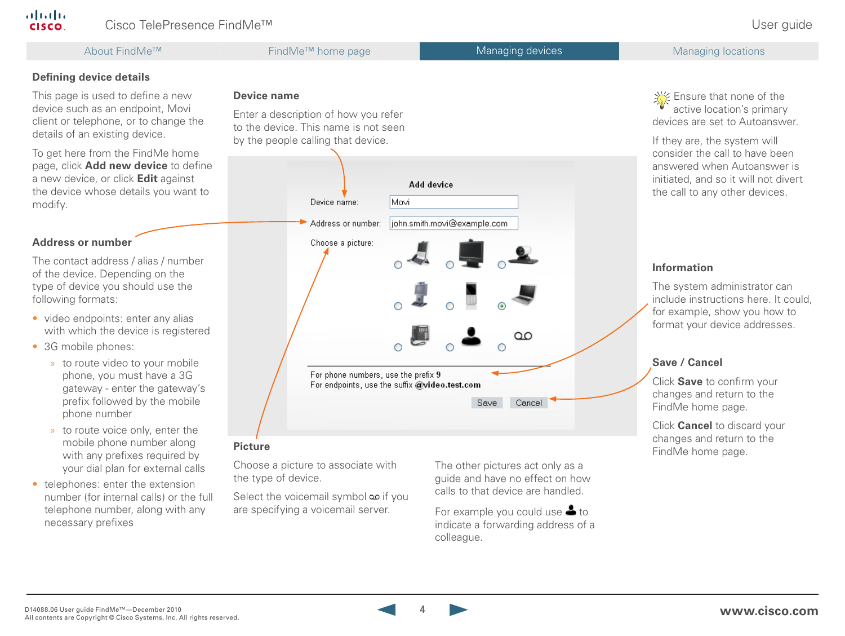### alialia Cisco TelePresence FindMe™ User guide CISCO.

This page is used to define a new device such as an endpoint, Movi client or telephone, or to change the

To get here from the FindMe home page, click **Add new device** to define a new device, or click **Edit** against the device whose details you want to

**Defining device details**

details of an existing device.

## About FindMe™ FindMe™ home page Managing devices Managing devices Managing locations

### **Device name**

Enter a description of how you refer to the device. This name is not seen by the people calling that device.

**Address or number**

modify.

The contact address / alias / number of the device. Depending on the type of device you should use the following formats:

- video endpoints: enter any alias with which the device is registered
- 3G mobile phones:
	- » to route video to your mobile phone, you must have a 3G gateway - enter the gateway's prefix followed by the mobile phone number
	- » to route voice only, enter the mobile phone number along with any prefixes required by your dial plan for external calls
- telephones: enter the extension number (for internal calls) or the full telephone number, along with any necessary prefixes

# Add device Device name: Movi



Choose a picture to associate with the type of device.

Select the voicemail symbol if you are specifying a voicemail server.

The other pictures act only as a guide and have no effect on how calls to that device are handled.

For example you could use  $\triangle$  to indicate a forwarding address of a colleague.

Section Ensure that none of the active location's primary devices are set to Autoanswer.

If they are, the system will consider the call to have been answered when Autoanswer is initiated, and so it will not divert the call to any other devices.

### **Information**

The system administrator can include instructions here. It could, for example, show you how to format your device addresses.

### **Save / Cancel**

Click **Save** to confirm your changes and return to the FindMe home page.

Click **Cancel** to discard your changes and return to the **Picture**<br>**Picture**<br>FindMe home page.